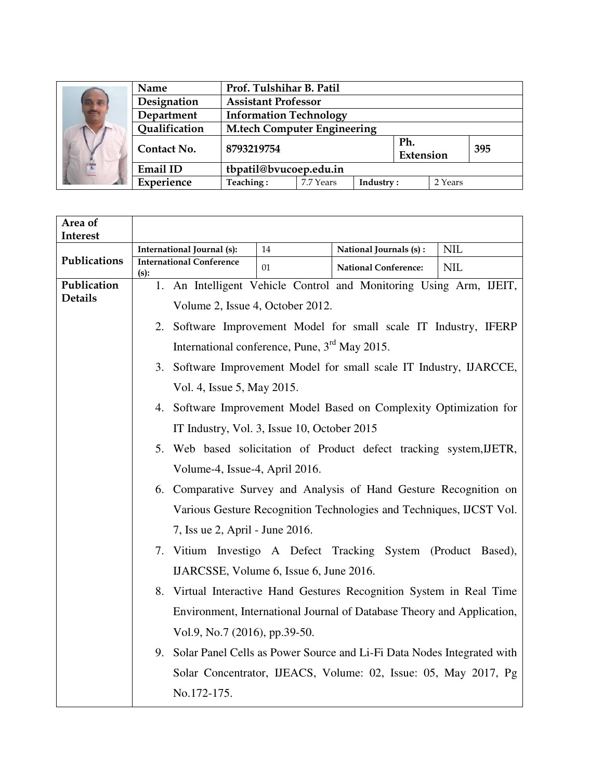|                      | Name          | Prof. Tulshihar B. Patil           |           |           |                  |         |     |
|----------------------|---------------|------------------------------------|-----------|-----------|------------------|---------|-----|
|                      | Designation   | <b>Assistant Professor</b>         |           |           |                  |         |     |
|                      | Department    | <b>Information Technology</b>      |           |           |                  |         |     |
|                      | Qualification | <b>M.tech Computer Engineering</b> |           |           |                  |         |     |
|                      | Contact No.   | 8793219754                         |           |           | Ph.<br>Extension |         | 395 |
| $\frac{1}{\sqrt{2}}$ | Email ID      | tbpatil@bvucoep.edu.in             |           |           |                  |         |     |
|                      | Experience    | Teaching:                          | 7.7 Years | Industry: |                  | 2 Years |     |

| Area of         |                                                           |    |                                                                           |            |
|-----------------|-----------------------------------------------------------|----|---------------------------------------------------------------------------|------------|
| <b>Interest</b> |                                                           |    |                                                                           |            |
| Publications    | International Journal (s):                                | 14 | National Journals (s) :                                                   | <b>NIL</b> |
|                 | <b>International Conference</b><br>$(s)$ :                | 01 | <b>National Conference:</b>                                               | <b>NIL</b> |
| Publication     |                                                           |    | 1. An Intelligent Vehicle Control and Monitoring Using Arm, IJEIT,        |            |
| <b>Details</b>  | Volume 2, Issue 4, October 2012.                          |    |                                                                           |            |
|                 |                                                           |    | 2. Software Improvement Model for small scale IT Industry, IFERP          |            |
|                 | International conference, Pune, 3 <sup>rd</sup> May 2015. |    |                                                                           |            |
|                 |                                                           |    | 3. Software Improvement Model for small scale IT Industry, IJARCCE,       |            |
|                 | Vol. 4, Issue 5, May 2015.                                |    |                                                                           |            |
|                 |                                                           |    | 4. Software Improvement Model Based on Complexity Optimization for        |            |
|                 | IT Industry, Vol. 3, Issue 10, October 2015               |    |                                                                           |            |
|                 |                                                           |    | 5. Web based solicitation of Product defect tracking system, IJETR,       |            |
|                 | Volume-4, Issue-4, April 2016.                            |    |                                                                           |            |
|                 |                                                           |    | 6. Comparative Survey and Analysis of Hand Gesture Recognition on         |            |
|                 |                                                           |    | Various Gesture Recognition Technologies and Techniques, IJCST Vol.       |            |
|                 | 7, Iss ue 2, April - June 2016.                           |    |                                                                           |            |
|                 |                                                           |    | 7. Vitium Investigo A Defect Tracking System (Product Based),             |            |
|                 | IJARCSSE, Volume 6, Issue 6, June 2016.                   |    |                                                                           |            |
|                 |                                                           |    | 8. Virtual Interactive Hand Gestures Recognition System in Real Time      |            |
|                 |                                                           |    | Environment, International Journal of Database Theory and Application,    |            |
|                 | Vol.9, No.7 (2016), pp.39-50.                             |    |                                                                           |            |
|                 |                                                           |    | 9. Solar Panel Cells as Power Source and Li-Fi Data Nodes Integrated with |            |
|                 |                                                           |    | Solar Concentrator, IJEACS, Volume: 02, Issue: 05, May 2017, Pg           |            |
|                 | No.172-175.                                               |    |                                                                           |            |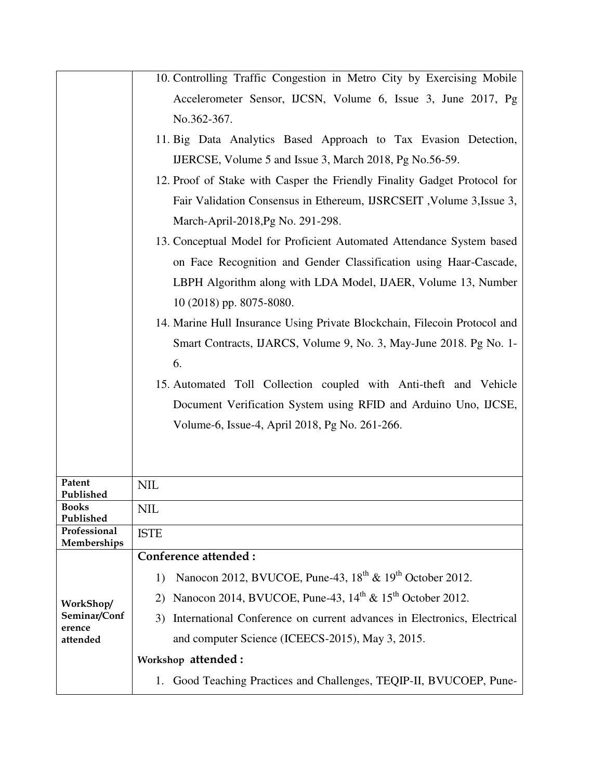|                           | 10. Controlling Traffic Congestion in Metro City by Exercising Mobile                   |  |  |  |  |  |
|---------------------------|-----------------------------------------------------------------------------------------|--|--|--|--|--|
|                           | Accelerometer Sensor, IJCSN, Volume 6, Issue 3, June 2017, Pg                           |  |  |  |  |  |
|                           | No.362-367.                                                                             |  |  |  |  |  |
|                           | 11. Big Data Analytics Based Approach to Tax Evasion Detection,                         |  |  |  |  |  |
|                           | IJERCSE, Volume 5 and Issue 3, March 2018, Pg No.56-59.                                 |  |  |  |  |  |
|                           | 12. Proof of Stake with Casper the Friendly Finality Gadget Protocol for                |  |  |  |  |  |
|                           | Fair Validation Consensus in Ethereum, IJSRCSEIT, Volume 3, Issue 3,                    |  |  |  |  |  |
|                           | March-April-2018, Pg No. 291-298.                                                       |  |  |  |  |  |
|                           | 13. Conceptual Model for Proficient Automated Attendance System based                   |  |  |  |  |  |
|                           | on Face Recognition and Gender Classification using Haar-Cascade,                       |  |  |  |  |  |
|                           | LBPH Algorithm along with LDA Model, IJAER, Volume 13, Number                           |  |  |  |  |  |
|                           | 10 (2018) pp. 8075-8080.                                                                |  |  |  |  |  |
|                           | 14. Marine Hull Insurance Using Private Blockchain, Filecoin Protocol and               |  |  |  |  |  |
|                           | Smart Contracts, IJARCS, Volume 9, No. 3, May-June 2018. Pg No. 1-                      |  |  |  |  |  |
|                           | 6.                                                                                      |  |  |  |  |  |
|                           | 15. Automated Toll Collection coupled with Anti-theft and Vehicle                       |  |  |  |  |  |
|                           | Document Verification System using RFID and Arduino Uno, IJCSE,                         |  |  |  |  |  |
|                           | Volume-6, Issue-4, April 2018, Pg No. 261-266.                                          |  |  |  |  |  |
|                           |                                                                                         |  |  |  |  |  |
|                           |                                                                                         |  |  |  |  |  |
| Patent<br>Published       | <b>NIL</b>                                                                              |  |  |  |  |  |
| <b>Books</b><br>Published | <b>NIL</b>                                                                              |  |  |  |  |  |
| Professional              | <b>ISTE</b>                                                                             |  |  |  |  |  |
| Memberships               | Conference attended:                                                                    |  |  |  |  |  |
| WorkShop/<br>Seminar/Conf | Nanocon 2012, BVUCOE, Pune-43, $18^{th}$ & $19^{th}$ October 2012.<br>1)                |  |  |  |  |  |
|                           | Nanocon 2014, BVUCOE, Pune-43, 14 <sup>th</sup> & 15 <sup>th</sup> October 2012.<br>(2) |  |  |  |  |  |
|                           | International Conference on current advances in Electronics, Electrical<br>3)           |  |  |  |  |  |
| erence<br>attended        | and computer Science (ICEECS-2015), May 3, 2015.                                        |  |  |  |  |  |
|                           | Workshop attended:                                                                      |  |  |  |  |  |
|                           | 1. Good Teaching Practices and Challenges, TEQIP-II, BVUCOEP, Pune-                     |  |  |  |  |  |
|                           |                                                                                         |  |  |  |  |  |